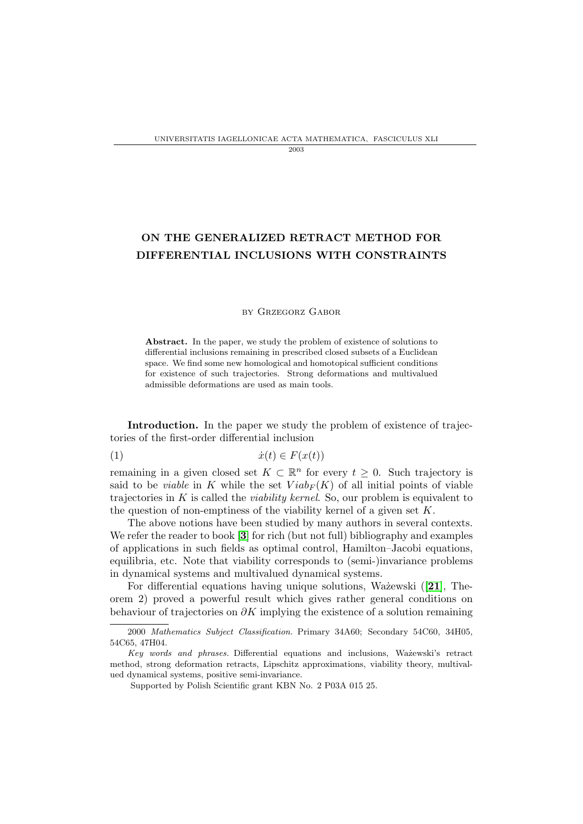## 2003

# ON THE GENERALIZED RETRACT METHOD FOR DIFFERENTIAL INCLUSIONS WITH CONSTRAINTS

### by Grzegorz Gabor

Abstract. In the paper, we study the problem of existence of solutions to differential inclusions remaining in prescribed closed subsets of a Euclidean space. We find some new homological and homotopical sufficient conditions for existence of such trajectories. Strong deformations and multivalued admissible deformations are used as main tools.

Introduction. In the paper we study the problem of existence of trajectories of the first-order differential inclusion

(1) ˙x(t) ∈ F(x(t))

remaining in a given closed set  $K \subset \mathbb{R}^n$  for every  $t \geq 0$ . Such trajectory is said to be *viable* in K while the set  $Viab_F(K)$  of all initial points of viable trajectories in  $K$  is called the *viability kernel*. So, our problem is equivalent to the question of non-emptiness of the viability kernel of a given set  $K$ .

The above notions have been studied by many authors in several contexts. We refer the reader to book [[3](#page-14-0)] for rich (but not full) bibliography and examples of applications in such fields as optimal control, Hamilton–Jacobi equations, equilibria, etc. Note that viability corresponds to (semi-)invariance problems in dynamical systems and multivalued dynamical systems.

For differential equations having unique solutions, Wa $\check{z}$ ewski ([[21](#page-15-0)], Theorem 2) proved a powerful result which gives rather general conditions on behaviour of trajectories on  $\partial K$  implying the existence of a solution remaining

<sup>2000</sup> Mathematics Subject Classification. Primary 34A60; Secondary 54C60, 34H05, 54C65, 47H04.

Key words and phrases. Differential equations and inclusions, Ważewski's retract method, strong deformation retracts, Lipschitz approximations, viability theory, multivalued dynamical systems, positive semi-invariance.

Supported by Polish Scientific grant KBN No. 2 P03A 015 25.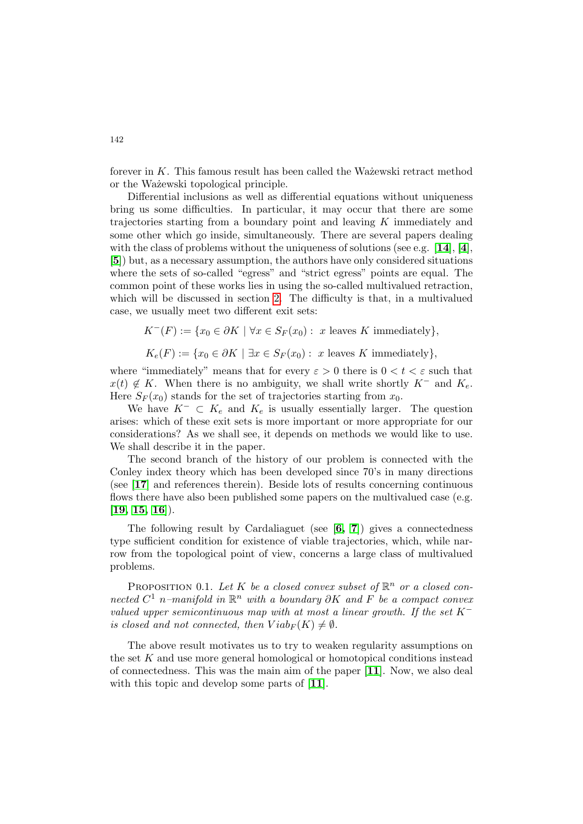forever in  $K$ . This famous result has been called the Wa $\chi$ zewski retract method or the Wa˙zewski topological principle.

Differential inclusions as well as differential equations without uniqueness bring us some difficulties. In particular, it may occur that there are some trajectories starting from a boundary point and leaving K immediately and some other which go inside, simultaneously. There are several papers dealing with the class of problems without the uniqueness of solutions (see e.g.  $[14]$  $[14]$  $[14]$ ,  $[4]$  $[4]$  $[4]$ , [[5](#page-14-2)]) but, as a necessary assumption, the authors have only considered situations where the sets of so-called "egress" and "strict egress" points are equal. The common point of these works lies in using the so-called multivalued retraction, which will be discussed in section [2.](#page-5-0) The difficulty is that, in a multivalued case, we usually meet two different exit sets:

$$
K^{-}(F) := \{x_0 \in \partial K \mid \forall x \in S_F(x_0) : x \text{ leaves } K \text{ immediately}\},\
$$

$$
K_e(F) := \{x_0 \in \partial K \mid \exists x \in S_F(x_0) : x \text{ leaves } K \text{ immediately}\},\
$$

where "immediately" means that for every  $\varepsilon > 0$  there is  $0 < t < \varepsilon$  such that  $x(t) \notin K$ . When there is no ambiguity, we shall write shortly K<sup>-</sup> and K<sub>e</sub>. Here  $S_F(x_0)$  stands for the set of trajectories starting from  $x_0$ .

We have  $K^- \subset K_e$  and  $K_e$  is usually essentially larger. The question arises: which of these exit sets is more important or more appropriate for our considerations? As we shall see, it depends on methods we would like to use. We shall describe it in the paper.

The second branch of the history of our problem is connected with the Conley index theory which has been developed since 70's in many directions (see [[17](#page-15-2)] and references therein). Beside lots of results concerning continuous flows there have also been published some papers on the multivalued case (e.g.  $[19, 15, 16]$  $[19, 15, 16]$  $[19, 15, 16]$  $[19, 15, 16]$  $[19, 15, 16]$ .

The following result by Cardaliaguet (see [[6,](#page-14-3) [7](#page-14-4)]) gives a connectedness type sufficient condition for existence of viable trajectories, which, while narrow from the topological point of view, concerns a large class of multivalued problems.

PROPOSITION 0.1. Let K be a closed convex subset of  $\mathbb{R}^n$  or a closed connected  $C^1$  n–manifold in  $\mathbb{R}^n$  with a boundary  $\partial K$  and  $F$  be a compact convex valued upper semicontinuous map with at most a linear growth. If the set  $K^$ is closed and not connected, then  $Viab_F(K) \neq \emptyset$ .

The above result motivates us to try to weaken regularity assumptions on the set K and use more general homological or homotopical conditions instead of connectedness. This was the main aim of the paper [[11](#page-15-6)]. Now, we also deal with this topic and develop some parts of [[11](#page-15-6)].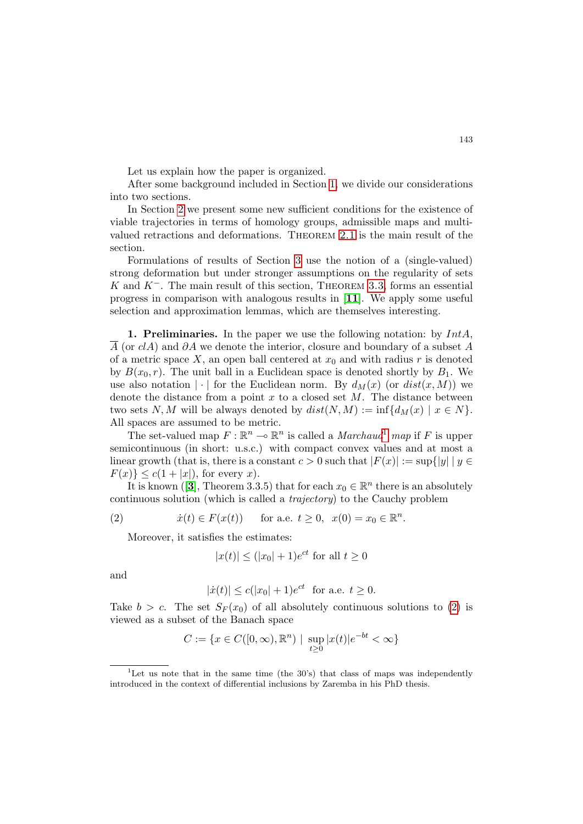Let us explain how the paper is organized.

After some background included in Section [1,](#page-2-0) we divide our considerations into two sections.

In Section [2](#page-5-0) we present some new sufficient conditions for the existence of viable trajectories in terms of homology groups, admissible maps and multivalued retractions and deformations. Theorem [2.1](#page-5-1) is the main result of the section.

Formulations of results of Section [3](#page-9-0) use the notion of a (single-valued) strong deformation but under stronger assumptions on the regularity of sets K and  $K^-$ . The main result of this section, THEOREM [3.3](#page-10-0), forms an essential progress in comparison with analogous results in [[11](#page-15-6)]. We apply some useful selection and approximation lemmas, which are themselves interesting.

<span id="page-2-0"></span>**1. Preliminaries.** In the paper we use the following notation: by  $IntA$ ,  $\overline{A}$  (or clA) and  $\partial A$  we denote the interior, closure and boundary of a subset A of a metric space X, an open ball centered at  $x_0$  and with radius r is denoted by  $B(x_0, r)$ . The unit ball in a Euclidean space is denoted shortly by  $B_1$ . We use also notation  $|\cdot|$  for the Euclidean norm. By  $d_M(x)$  (or  $dist(x, M)$ ) we denote the distance from a point x to a closed set  $M$ . The distance between two sets N, M will be always denoted by  $dist(N, M) := \inf \{ d_M(x) | x \in N \}.$ All spaces are assumed to be metric.

The set-valued map  $F: \mathbb{R}^n \to \mathbb{R}^n$  is called a *Marchaud*<sup>[1](#page-2-1)</sup> map if F is upper semicontinuous (in short: u.s.c.) with compact convex values and at most a linear growth (that is, there is a constant  $c > 0$  such that  $|F(x)| := \sup\{|y| \mid y \in$  $F(x)\leq c(1+|x|)$ , for every x).

It is known ([[3](#page-14-0)], Theorem 3.3.5) that for each  $x_0 \in \mathbb{R}^n$  there is an absolutely continuous solution (which is called a trajectory) to the Cauchy problem

(2) 
$$
\dot{x}(t) \in F(x(t))
$$
 for a.e.  $t \ge 0$ ,  $x(0) = x_0 \in \mathbb{R}^n$ .

<span id="page-2-2"></span>Moreover, it satisfies the estimates:

$$
|x(t)| \le (|x_0| + 1)e^{ct}
$$
 for all  $t \ge 0$ 

and

$$
|x(t)| \le c(|x_0|+1)e^{ct}
$$
 for a.e.  $t \ge 0$ .

Take  $b > c$ . The set  $S_F(x_0)$  of all absolutely continuous solutions to [\(2\)](#page-2-2) is viewed as a subset of the Banach space

$$
C := \{ x \in C([0, \infty), \mathbb{R}^n) \mid \sup_{t \ge 0} |x(t)| e^{-bt} < \infty \}
$$

<span id="page-2-1"></span><sup>&</sup>lt;sup>1</sup>Let us note that in the same time (the  $30's$ ) that class of maps was independently introduced in the context of differential inclusions by Zaremba in his PhD thesis.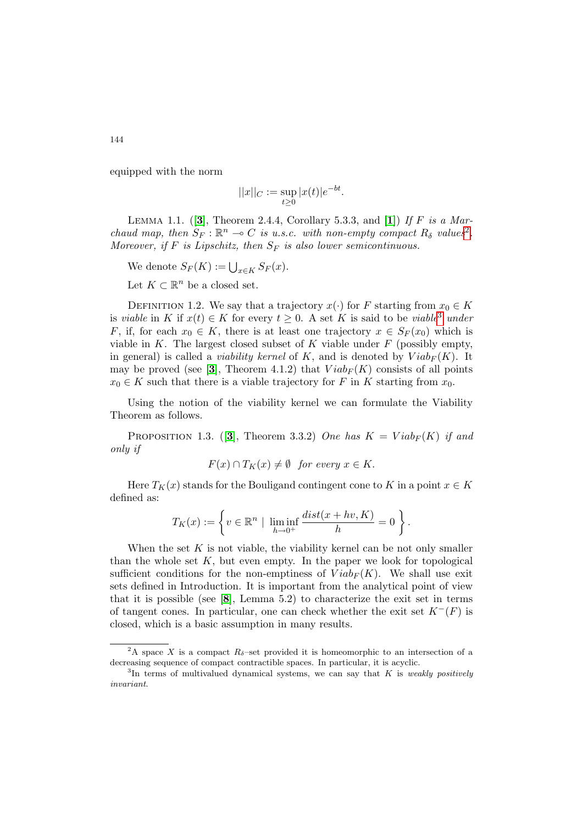equipped with the norm

$$
||x||_C:=\sup_{t\geq 0}|x(t)|e^{-bt}.
$$

LEMMA 1.1. ([[3](#page-14-0)], Theorem 2.4.4, Corollary 5.3.3, and [[1](#page-14-5)]) If F is a Marchaud map, then  $S_F : \mathbb{R}^n \to C$  is u.s.c. with non-empty compact  $R_\delta$  values<sup>[2](#page-3-0)</sup>. Moreover, if F is Lipschitz, then  $S_F$  is also lower semicontinuous.

We denote  $S_F(K) := \bigcup_{x \in K} S_F(x)$ .

Let  $K \subset \mathbb{R}^n$  be a closed set.

DEFINITION 1.2. We say that a trajectory  $x(\cdot)$  for F starting from  $x_0 \in K$ is viable in K if  $x(t) \in K$  for every  $t \geq 0$ . A set K is said to be viable<sup>[3](#page-3-1)</sup> under F, if, for each  $x_0 \in K$ , there is at least one trajectory  $x \in S_F(x_0)$  which is viable in  $K$ . The largest closed subset of  $K$  viable under  $F$  (possibly empty, in general) is called a *viability kernel* of K, and is denoted by  $Viab_F(K)$ . It may be proved (see [[3](#page-14-0)], Theorem 4.1.2) that  $Viab_F(K)$  consists of all points  $x_0 \in K$  such that there is a viable trajectory for F in K starting from  $x_0$ .

Using the notion of the viability kernel we can formulate the Viability Theorem as follows.

PROPOSITION 1.[3](#page-14-0). (3), Theorem 3.3.2) One has  $K = Viab_F(K)$  if and only if

$$
F(x) \cap T_K(x) \neq \emptyset \quad for \ every \ x \in K.
$$

Here  $T_K(x)$  stands for the Bouligand contingent cone to K in a point  $x \in K$ defined as:

$$
T_K(x) := \left\{ v \in \mathbb{R}^n \mid \liminf_{h \to 0^+} \frac{dist(x + hv, K)}{h} = 0 \right\}.
$$

When the set  $K$  is not viable, the viability kernel can be not only smaller than the whole set  $K$ , but even empty. In the paper we look for topological sufficient conditions for the non-emptiness of  $Viab_F(K)$ . We shall use exit sets defined in Introduction. It is important from the analytical point of view that it is possible (see  $[8]$  $[8]$  $[8]$ , Lemma 5.2) to characterize the exit set in terms of tangent cones. In particular, one can check whether the exit set  $K^-(F)$  is closed, which is a basic assumption in many results.

<span id="page-3-0"></span><sup>&</sup>lt;sup>2</sup>A space X is a compact  $R_{\delta}$ -set provided it is homeomorphic to an intersection of a decreasing sequence of compact contractible spaces. In particular, it is acyclic.

<span id="page-3-1"></span> ${}^{3}$ In terms of multivalued dynamical systems, we can say that K is weakly positively invariant.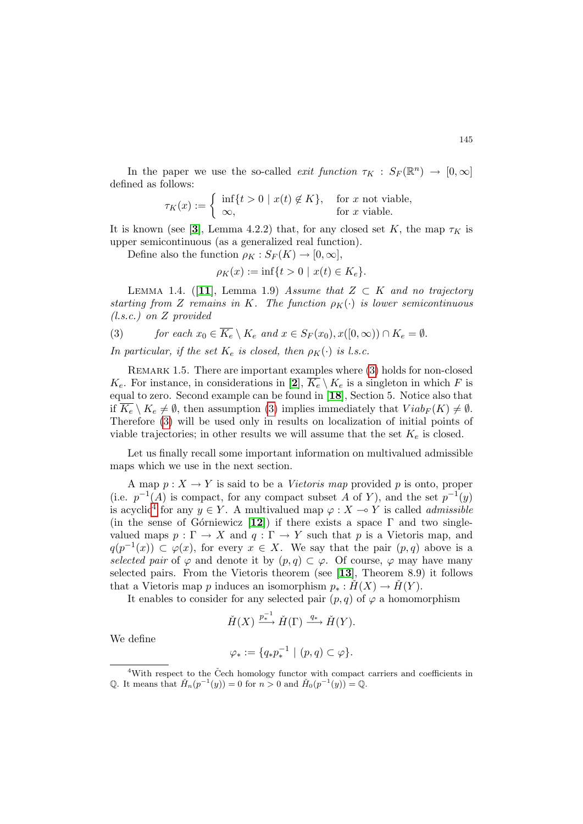In the paper we use the so-called *exit function*  $\tau_K : S_F(\mathbb{R}^n) \to [0, \infty]$ defined as follows:

$$
\tau_K(x) := \begin{cases} \inf\{t > 0 \mid x(t) \notin K\}, & \text{for } x \text{ not viable,} \\ \infty, & \text{for } x \text{ viable.} \end{cases}
$$

It is known (see [[3](#page-14-0)], Lemma 4.2.2) that, for any closed set K, the map  $\tau_K$  is upper semicontinuous (as a generalized real function).

Define also the function  $\rho_K : S_F(K) \to [0, \infty],$ 

$$
\rho_K(x) := \inf\{t > 0 \mid x(t) \in K_e\}.
$$

<span id="page-4-2"></span>LEMMA 1.4. ([[11](#page-15-6)], Lemma 1.9) Assume that  $Z \subset K$  and no trajectory starting from Z remains in K. The function  $\rho_K(\cdot)$  is lower semicontinuous (l.s.c.) on Z provided

<span id="page-4-0"></span>(3) *for each* 
$$
x_0 \in \overline{K_e} \setminus K_e
$$
 *and*  $x \in S_F(x_0), x([0, \infty)) \cap K_e = \emptyset$ .

In particular, if the set  $K_e$  is closed, then  $\rho_K(\cdot)$  is l.s.c.

REMARK 1.5. There are important examples where [\(3\)](#page-4-0) holds for non-closed  $K_e$ . For instance, in considerations in [[2](#page-14-7)],  $\overline{K_e} \setminus K_e$  is a singleton in which F is equal to zero. Second example can be found in [[18](#page-15-7)], Section 5. Notice also that if  $K_e \setminus K_e \neq \emptyset$ , then assumption [\(3\)](#page-4-0) implies immediately that  $Viab_F (K) \neq \emptyset$ . Therefore [\(3\)](#page-4-0) will be used only in results on localization of initial points of viable trajectories; in other results we will assume that the set  $K_e$  is closed.

Let us finally recall some important information on multivalued admissible maps which we use in the next section.

A map  $p: X \to Y$  is said to be a *Vietoris map* provided p is onto, proper (i.e.  $p^{-1}(A)$  is compact, for any compact subset A of Y), and the set  $p^{-1}(y)$ is acyclic<sup>[4](#page-4-1)</sup> for any  $y \in Y$ . A multivalued map  $\varphi: X \to Y$  is called *admissible* (in the sense of Górniewicz [[12](#page-15-8)]) if there exists a space  $\Gamma$  and two singlevalued maps  $p : \Gamma \to X$  and  $q : \Gamma \to Y$  such that p is a Vietoris map, and  $q(p^{-1}(x)) \subset \varphi(x)$ , for every  $x \in X$ . We say that the pair  $(p,q)$  above is a selected pair of  $\varphi$  and denote it by  $(p,q) \subset \varphi$ . Of course,  $\varphi$  may have many selected pairs. From the Vietoris theorem (see [[13](#page-15-9)], Theorem 8.9) it follows that a Vietoris map p induces an isomorphism  $p_* : H(X) \to H(Y)$ .

It enables to consider for any selected pair  $(p, q)$  of  $\varphi$  a homomorphism

$$
\check{H}(X) \xrightarrow{p_*^{-1}} \check{H}(\Gamma) \xrightarrow{q_*} \check{H}(Y).
$$

We define

$$
\varphi_* := \{ q_* p_*^{-1} \mid (p,q) \subset \varphi \}.
$$

<span id="page-4-1"></span> $4$ With respect to the Čech homology functor with compact carriers and coefficients in Q. It means that  $\check{H}_n(p^{-1}(y)) = 0$  for  $n > 0$  and  $\check{H}_0(p^{-1}(y)) = Q$ .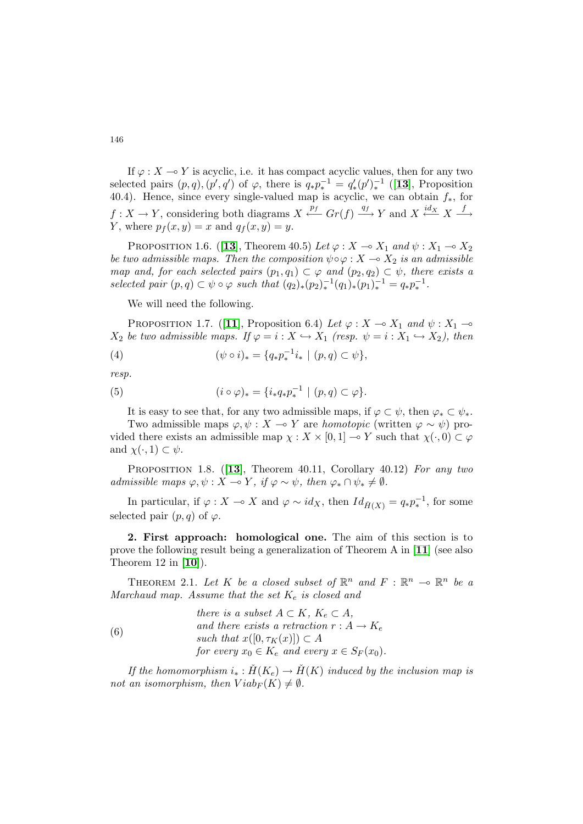If  $\varphi: X \to Y$  is acyclic, i.e. it has compact acyclic values, then for any two selected pairs  $(p, q), (p', q')$  of  $\varphi$ , there is  $q_* p_*^{-1} = q'_*(p')_*^{-1}$  ([[13](#page-15-9)], Proposition 40.4). Hence, since every single-valued map is acyclic, we can obtain  $f_*$ , for  $f: X \to Y$ , considering both diagrams  $X \xleftarrow{p_f} Gr(f) \xrightarrow{q_f} Y$  and  $X \xleftarrow{id_X} X \xrightarrow{f} Y$ Y, where  $p_f(x, y) = x$  and  $q_f(x, y) = y$ .

PROPOSITION 1.6. ([[13](#page-15-9)], Theorem 40.5) Let  $\varphi : X \to X_1$  and  $\psi : X_1 \to X_2$ be two admissible maps. Then the composition  $\psi \circ \varphi : X \to X_2$  is an admissible map and, for each selected pairs  $(p_1, q_1) \subset \varphi$  and  $(p_2, q_2) \subset \psi$ , there exists a selected pair  $(p, q) \subset \psi \circ \varphi$  such that  $(q_2)_*(p_2)_*^{-1}(q_1)_*(p_1)_*^{-1} = q_* p_*^{-1}$ .

<span id="page-5-5"></span>We will need the following.

PROPOSITION 1.7. ([[11](#page-15-6)], Proposition 6.4) Let  $\varphi: X \to X_1$  and  $\psi: X_1 \to$  $X_2$  be two admissible maps. If  $\varphi = i : X \hookrightarrow X_1$  (resp.  $\psi = i : X_1 \hookrightarrow X_2$ ), then

(4) 
$$
(\psi \circ i)_* = \{q_* p_*^{-1} i_* \mid (p, q) \subset \psi \},
$$

resp.

<span id="page-5-4"></span>(5) 
$$
(i \circ \varphi)_* = \{i_* q_* p_*^{-1} \mid (p, q) \subset \varphi\}.
$$

It is easy to see that, for any two admissible maps, if  $\varphi \subset \psi$ , then  $\varphi_* \subset \psi_*$ . Two admissible maps  $\varphi, \psi : X \to Y$  are homotopic (written  $\varphi \sim \psi$ ) provided there exists an admissible map  $\chi: X \times [0, 1] \to Y$  such that  $\chi(\cdot, 0) \subset \varphi$ and  $\chi(\cdot, 1) \subset \psi$ .

<span id="page-5-3"></span>PROPOSITION 1.8. ([[13](#page-15-9)], Theorem 40.11, Corollary 40.12) For any two admissible maps  $\varphi, \psi : X \multimap Y$ , if  $\varphi \sim \psi$ , then  $\varphi_* \cap \psi_* \neq \emptyset$ .

In particular, if  $\varphi : X \to X$  and  $\varphi \sim id_X$ , then  $Id_{\check{H}(X)} = q_* p_*^{-1}$ , for some selected pair  $(p, q)$  of  $\varphi$ .

<span id="page-5-0"></span>2. First approach: homological one. The aim of this section is to prove the following result being a generalization of Theorem A in [[11](#page-15-6)] (see also Theorem 12 in  $[10]$  $[10]$  $[10]$ ).

<span id="page-5-1"></span>THEOREM 2.1. Let K be a closed subset of  $\mathbb{R}^n$  and  $F: \mathbb{R}^n \to \mathbb{R}^n$  be a Marchaud map. Assume that the set  $K_e$  is closed and

<span id="page-5-2"></span>(6) *there is a subset* 
$$
A \subset K
$$
,  $K_e \subset A$ ,  
and there exists a retraction  $r : A \to K_e$   
such that  $x([0, \tau_K(x)]) \subset A$   
for every  $x_0 \in K_e$  and every  $x \in S_F(x_0)$ .

If the homomorphism  $i_* : \check{H}(K_e) \to \check{H}(K)$  induced by the inclusion map is not an isomorphism, then  $Viab_F(K) \neq \emptyset$ .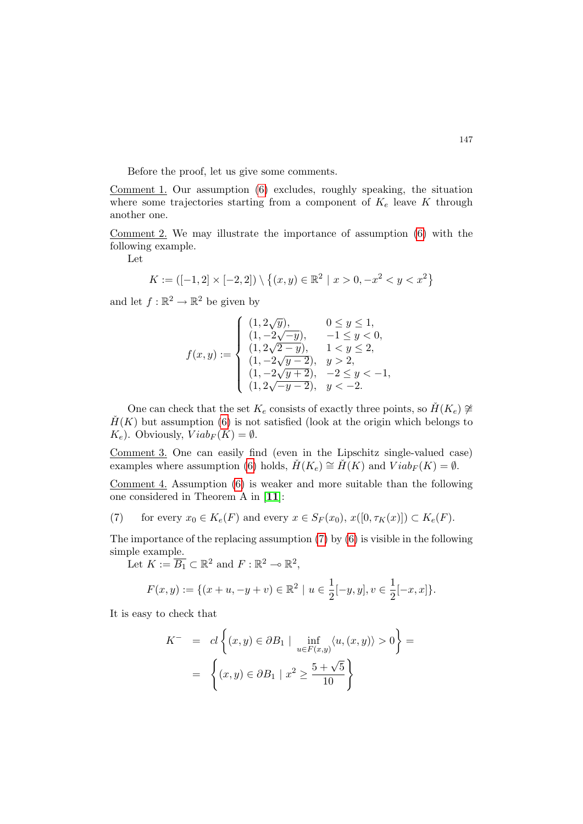Before the proof, let us give some comments.

Comment 1. Our assumption [\(6\)](#page-5-2) excludes, roughly speaking, the situation where some trajectories starting from a component of  $K_e$  leave K through another one.

Comment 2. We may illustrate the importance of assumption [\(6\)](#page-5-2) with the following example.

Let

$$
K := ([-1, 2] \times [-2, 2]) \setminus \{(x, y) \in \mathbb{R}^2 \mid x > 0, -x^2 < y < x^2\}
$$

and let  $f : \mathbb{R}^2 \to \mathbb{R}^2$  be given by

$$
f(x,y):=\begin{cases}(1,2\sqrt{y}), & 0\leq y\leq 1,\\ (1,-2\sqrt{-y}), & -1\leq y<0,\\ (1,2\sqrt{2-y}), & 1< y\leq 2,\\ (1,-2\sqrt{y-2}), & y>2,\\ (1,-2\sqrt{y+2}), & -2\leq y<-1,\\ (1,2\sqrt{-y-2}), & y<-2.\end{cases}
$$

One can check that the set  $K_e$  consists of exactly three points, so  $H(K_e) \not\cong$  $H(K)$  but assumption [\(6\)](#page-5-2) is not satisfied (look at the origin which belongs to  $K_e$ ). Obviously,  $Viab_F(K) = \emptyset$ .

Comment 3. One can easily find (even in the Lipschitz single-valued case) examples where assumption [\(6\)](#page-5-2) holds,  $\check{H}(K_e) \cong \check{H}(K)$  and  $Viab_F(K) = \emptyset$ .

Comment 4. Assumption [\(6\)](#page-5-2) is weaker and more suitable than the following one considered in Theorem A in [[11](#page-15-6)]:

<span id="page-6-0"></span>(7) for every 
$$
x_0 \in K_e(F)
$$
 and every  $x \in S_F(x_0), x([0, \tau_K(x)]) \subset K_e(F)$ .

The importance of the replacing assumption [\(7\)](#page-6-0) by [\(6\)](#page-5-2) is visible in the following simple example.

Let  $K := \overline{B_1} \subset \mathbb{R}^2$  and  $F : \mathbb{R}^2 \to \mathbb{R}^2$ ,

$$
F(x,y) := \{ (x+u, -y+v) \in \mathbb{R}^2 \mid u \in \frac{1}{2}[-y, y], v \in \frac{1}{2}[-x, x] \}.
$$

It is easy to check that

$$
K^- = cl \left\{ (x, y) \in \partial B_1 \mid \inf_{u \in F(x, y)} \langle u, (x, y) \rangle > 0 \right\} =
$$
  
= 
$$
\left\{ (x, y) \in \partial B_1 \mid x^2 \ge \frac{5 + \sqrt{5}}{10} \right\}
$$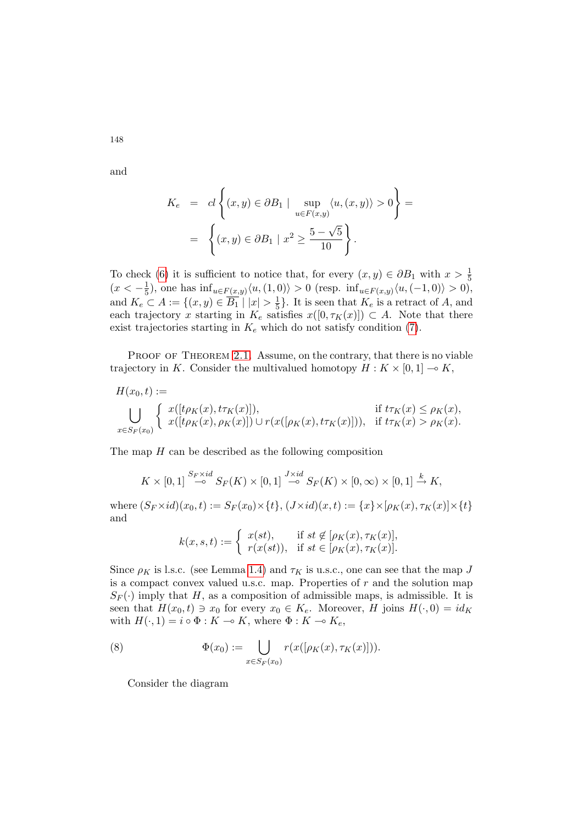and

148

$$
K_e = cl \left\{ (x, y) \in \partial B_1 \mid \sup_{u \in F(x, y)} \langle u, (x, y) \rangle > 0 \right\} =
$$
  
= 
$$
\left\{ (x, y) \in \partial B_1 \mid x^2 \ge \frac{5 - \sqrt{5}}{10} \right\}.
$$

To check [\(6\)](#page-5-2) it is sufficient to notice that, for every  $(x, y) \in \partial B_1$  with  $x > \frac{1}{5}$  $(x < -\frac{1}{5})$  $(\frac{1}{5})$ , one has  $\inf_{u \in F(x,y)} \langle u, (1,0) \rangle > 0$  (resp.  $\inf_{u \in F(x,y)} \langle u, (-1,0) \rangle > 0$ ), and  $K_e \subset A := \{(x, y) \in \overline{B_1} \mid |x| > \frac{1}{5}\}$  $\frac{1}{5}$ . It is seen that  $K_e$  is a retract of A, and each trajectory x starting in  $K_e$  satisfies  $x([0, \tau_K(x)]) \subset A$ . Note that there exist trajectories starting in  $K_e$  which do not satisfy condition [\(7\)](#page-6-0).

PROOF OF THEOREM [2.1.](#page-5-1) Assume, on the contrary, that there is no viable trajectory in K. Consider the multivalued homotopy  $H : K \times [0,1] \to K$ ,

$$
H(x_0, t) :=
$$
  
\n
$$
\bigcup_{x \in S_F(x_0)} \begin{cases} x([t\rho_K(x), t\tau_K(x)]), & \text{if } t\tau_K(x) \le \rho_K(x), \\ x([t\rho_K(x), \rho_K(x)]) \cup r(x([\rho_K(x), t\tau_K(x)])), & \text{if } t\tau_K(x) > \rho_K(x). \end{cases}
$$

The map  $H$  can be described as the following composition

$$
K\times [0,1]\stackrel{S_F\times id}{\multimap} S_F(K)\times [0,1]\stackrel{J\times id}{\multimap} S_F(K)\times [0,\infty)\times [0,1]\stackrel{k}{\rightarrow} K,
$$

where  $(S_F \times id)(x_0, t) := S_F(x_0) \times \{t\}, (J \times id)(x, t) := \{x\} \times [\rho_K(x), \tau_K(x)] \times \{t\}$ and

$$
k(x, s, t) := \begin{cases} x(st), & \text{if } st \notin [\rho_K(x), \tau_K(x)], \\ r(x(st)), & \text{if } st \in [\rho_K(x), \tau_K(x)]. \end{cases}
$$

Since  $\rho_K$  is l.s.c. (see Lemma [1.4\)](#page-4-2) and  $\tau_K$  is u.s.c., one can see that the map J is a compact convex valued u.s.c. map. Properties of  $r$  and the solution map  $S_F(\cdot)$  imply that H, as a composition of admissible maps, is admissible. It is seen that  $H(x_0, t) \ni x_0$  for every  $x_0 \in K_e$ . Moreover, H joins  $H(\cdot, 0) = id_K$ with  $H(\cdot, 1) = i \circ \Phi : K \to K$ , where  $\Phi : K \to K_e$ ,

(8) 
$$
\Phi(x_0) := \bigcup_{x \in S_F(x_0)} r(x([\rho_K(x), \tau_K(x)])).
$$

<span id="page-7-0"></span>Consider the diagram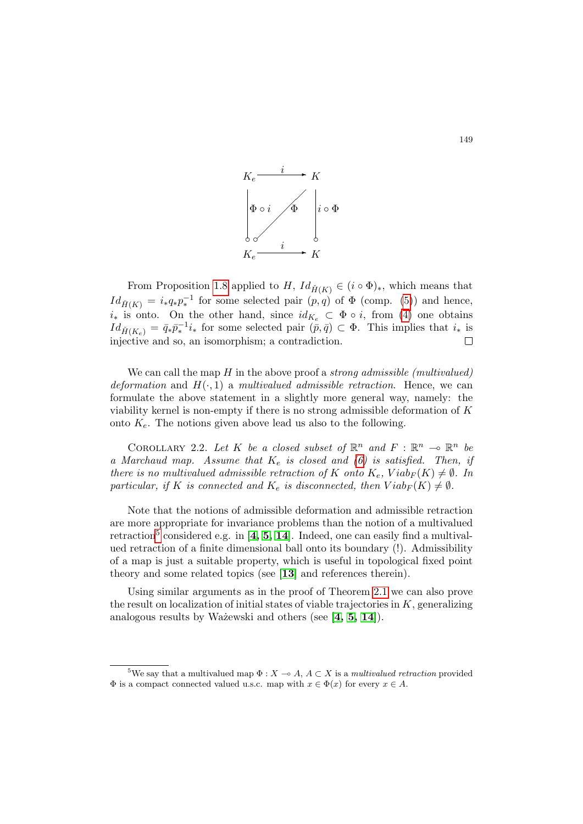

From Proposition [1.8](#page-5-3) applied to H,  $Id_{\tilde{H}(K)} \in (i \circ \Phi)_*,$  which means that  $Id_{\tilde{H}(K)} = i_*q_*p_*^{-1}$  for some selected pair  $(p,q)$  of  $\Phi$  (comp. [\(5\)](#page-5-4)) and hence,  $i_*$  is onto. On the other hand, since  $id_{K_e} \subset \Phi \circ i$ , from [\(4\)](#page-5-5) one obtains  $Id_{\check{H}(K_e)} = \bar{q}_*\bar{p}_*^{-1}i_*$  for some selected pair  $(\bar{p}, \bar{q}) \subset \Phi$ . This implies that  $i_*$  is injective and so, an isomorphism; a contradiction.  $\Box$ 

We can call the map  $H$  in the above proof a *strong admissible (multivalued)* deformation and  $H(\cdot, 1)$  a multivalued admissible retraction. Hence, we can formulate the above statement in a slightly more general way, namely: the viability kernel is non-empty if there is no strong admissible deformation of K onto  $K_e$ . The notions given above lead us also to the following.

COROLLARY 2.2. Let K be a closed subset of  $\mathbb{R}^n$  and  $F: \mathbb{R}^n \to \mathbb{R}^n$  be a Marchaud map. Assume that  $K_e$  is closed and [\(6\)](#page-5-2) is satisfied. Then, if there is no multivalued admissible retraction of K onto  $K_e$ ,  $Viab_F(K) \neq \emptyset$ . In particular, if K is connected and  $K_e$  is disconnected, then  $Viab_F(K) \neq \emptyset$ .

Note that the notions of admissible deformation and admissible retraction are more appropriate for invariance problems than the notion of a multivalued retraction<sup>[5](#page-8-0)</sup> considered e.g. in [[4,](#page-14-1) [5,](#page-14-2) [14](#page-15-1)]. Indeed, one can easily find a multivalued retraction of a finite dimensional ball onto its boundary (!). Admissibility of a map is just a suitable property, which is useful in topological fixed point theory and some related topics (see [[13](#page-15-9)] and references therein).

Using similar arguments as in the proof of Theorem [2.1](#page-5-1) we can also prove the result on localization of initial states of viable trajectories in  $K$ , generalizing analogous results by Ważewski and others (see  $[4, 5, 14]$  $[4, 5, 14]$  $[4, 5, 14]$  $[4, 5, 14]$  $[4, 5, 14]$ ).

<span id="page-8-0"></span><sup>&</sup>lt;sup>5</sup>We say that a multivalued map  $\Phi: X \to A, A \subset X$  is a multivalued retraction provided  $\Phi$  is a compact connected valued u.s.c. map with  $x \in \Phi(x)$  for every  $x \in A$ .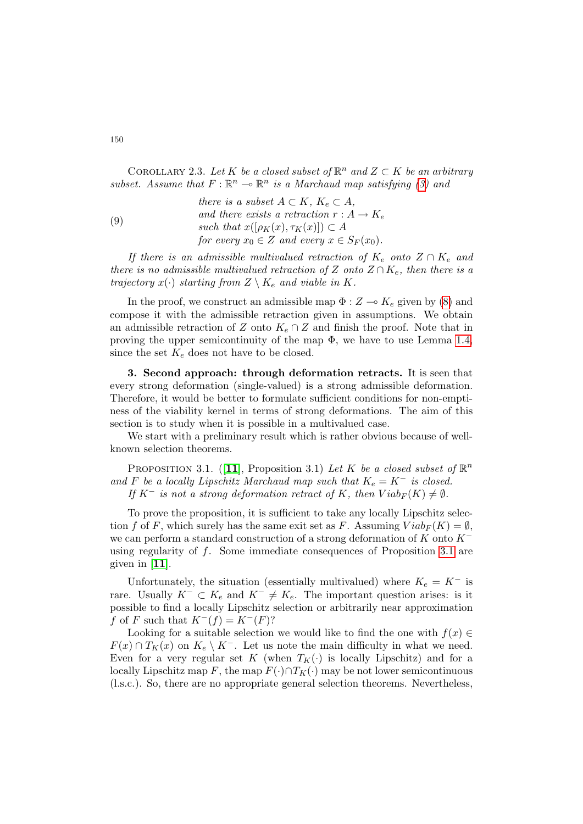COROLLARY 2.3. Let K be a closed subset of  $\mathbb{R}^n$  and  $Z \subset K$  be an arbitrary subset. Assume that  $F: \mathbb{R}^n \to \mathbb{R}^n$  is a Marchaud map satisfying [\(3\)](#page-4-0) and

(9)  
\nthere is a subset 
$$
A \subset K
$$
,  $K_e \subset A$ ,  
\nand there exists a retraction  $r : A \to K_e$   
\nsuch that  $x([\rho_K(x), \tau_K(x)]) \subset A$   
\nfor every  $x_0 \in Z$  and every  $x \in S_F(x_0)$ .

If there is an admissible multivalued retraction of  $K_e$  onto  $Z \cap K_e$  and there is no admissible multivalued retraction of Z onto  $Z \cap K_e$ , then there is a trajectory  $x(\cdot)$  starting from  $Z \setminus K_e$  and viable in K.

In the proof, we construct an admissible map  $\Phi : Z \to K_e$  given by [\(8\)](#page-7-0) and compose it with the admissible retraction given in assumptions. We obtain an admissible retraction of Z onto  $K_e \cap Z$  and finish the proof. Note that in proving the upper semicontinuity of the map  $\Phi$ , we have to use Lemma [1.4,](#page-4-2) since the set  $K_e$  does not have to be closed.

<span id="page-9-0"></span>3. Second approach: through deformation retracts. It is seen that every strong deformation (single-valued) is a strong admissible deformation. Therefore, it would be better to formulate sufficient conditions for non-emptiness of the viability kernel in terms of strong deformations. The aim of this section is to study when it is possible in a multivalued case.

We start with a preliminary result which is rather obvious because of wellknown selection theorems.

<span id="page-9-1"></span>PROPOSITION 3.1. ([[11](#page-15-6)], Proposition 3.1) Let K be a closed subset of  $\mathbb{R}^n$ and F be a locally Lipschitz Marchaud map such that  $K_e = K^-$  is closed. If  $K^-$  is not a strong deformation retract of K, then  $Viab_F(K) \neq \emptyset$ .

To prove the proposition, it is sufficient to take any locally Lipschitz selection f of F, which surely has the same exit set as F. Assuming  $Viab_F(K) = \emptyset$ , we can perform a standard construction of a strong deformation of K onto  $K^$ using regularity of  $f$ . Some immediate consequences of Proposition [3.1](#page-9-1) are given in [[11](#page-15-6)].

Unfortunately, the situation (essentially multivalued) where  $K_e = K^-$  is rare. Usually  $K^- \subset K_e$  and  $K^- \neq K_e$ . The important question arises: is it possible to find a locally Lipschitz selection or arbitrarily near approximation f of F such that  $K^-(f) = K^-(F)$ ?

Looking for a suitable selection we would like to find the one with  $f(x) \in$  $F(x) \cap T_K(x)$  on  $K_e \setminus K^-$ . Let us note the main difficulty in what we need. Even for a very regular set K (when  $T_K(\cdot)$  is locally Lipschitz) and for a locally Lipschitz map F, the map  $F(\cdot) \cap T_K(\cdot)$  may be not lower semicontinuous (l.s.c.). So, there are no appropriate general selection theorems. Nevertheless,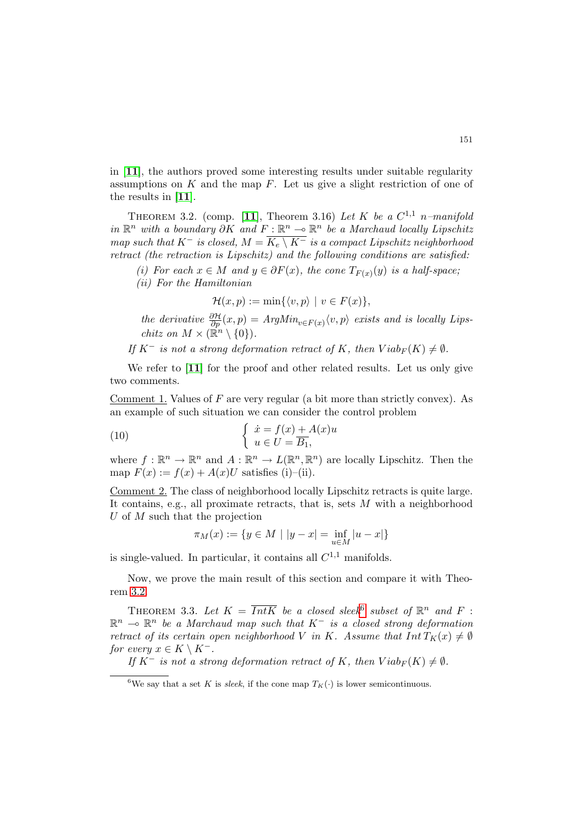in [[11](#page-15-6)], the authors proved some interesting results under suitable regularity assumptions on  $K$  and the map  $F$ . Let us give a slight restriction of one of the results in [[11](#page-15-6)].

<span id="page-10-1"></span>THEOREM 3.2. (comp. [[11](#page-15-6)], Theorem 3.16) Let K be a  $C^{1,1}$  n-manifold in  $\mathbb{R}^n$  with a boundary  $\partial K$  and  $F: \mathbb{R}^n$  →  $\mathbb{R}^n$  be a Marchaud locally Lipschitz map such that  $K^-$  is closed,  $M = \overline{K_e \setminus K^-}$  is a compact Lipschitz neighborhood retract (the retraction is Lipschitz) and the following conditions are satisfied:

- (i) For each  $x \in M$  and  $y \in \partial F(x)$ , the cone  $T_{F(x)}(y)$  is a half-space;
- (ii) For the Hamiltonian

$$
\mathcal{H}(x,p) := \min\{\langle v, p \rangle \mid v \in F(x)\},\
$$

the derivative  $\frac{\partial \mathcal{H}}{\partial p}(x,p) = ArgMin_{v \in F(x)} \langle v, p \rangle$  exists and is locally Lips*chitz on*  $M \times (\mathbb{R}^n \setminus \{0\})$ .

If  $K^-$  is not a strong deformation retract of K, then  $Viab_F(K) \neq \emptyset$ .

We refer to [[11](#page-15-6)] for the proof and other related results. Let us only give two comments.

Comment 1. Values of  $F$  are very regular (a bit more than strictly convex). As an example of such situation we can consider the control problem

(10) 
$$
\begin{cases} \n\dot{x} = f(x) + A(x)u \\ \nu \in U = \overline{B_1}, \n\end{cases}
$$

where  $f: \mathbb{R}^n \to \mathbb{R}^n$  and  $A: \mathbb{R}^n \to L(\mathbb{R}^n, \mathbb{R}^n)$  are locally Lipschitz. Then the map  $F(x) := f(x) + A(x)U$  satisfies (i)–(ii).

Comment 2. The class of neighborhood locally Lipschitz retracts is quite large. It contains, e.g., all proximate retracts, that is, sets  $M$  with a neighborhood U of M such that the projection

$$
\pi_M(x) := \{ y \in M \mid |y - x| = \inf_{u \in M} |u - x| \}
$$

is single-valued. In particular, it contains all  $C^{1,1}$  manifolds.

Now, we prove the main result of this section and compare it with Theorem [3.2.](#page-10-1)

<span id="page-10-0"></span>THEOREM 3.3. Let  $K = \overline{IntK}$  be a closed sleek<sup>[6](#page-10-2)</sup> subset of  $\mathbb{R}^n$  and  $F$ :  $\mathbb{R}^n$   $\multimap$   $\mathbb{R}^n$  be a Marchaud map such that  $K^-$  is a closed strong deformation retract of its certain open neighborhood V in K. Assume that  $Int T_K(x) \neq \emptyset$ for every  $x \in K \setminus K^-$ .

If  $K^-$  is not a strong deformation retract of K, then  $Viab_F(K) \neq \emptyset$ .

<span id="page-10-2"></span><sup>&</sup>lt;sup>6</sup>We say that a set K is sleek, if the cone map  $T_K(\cdot)$  is lower semicontinuous.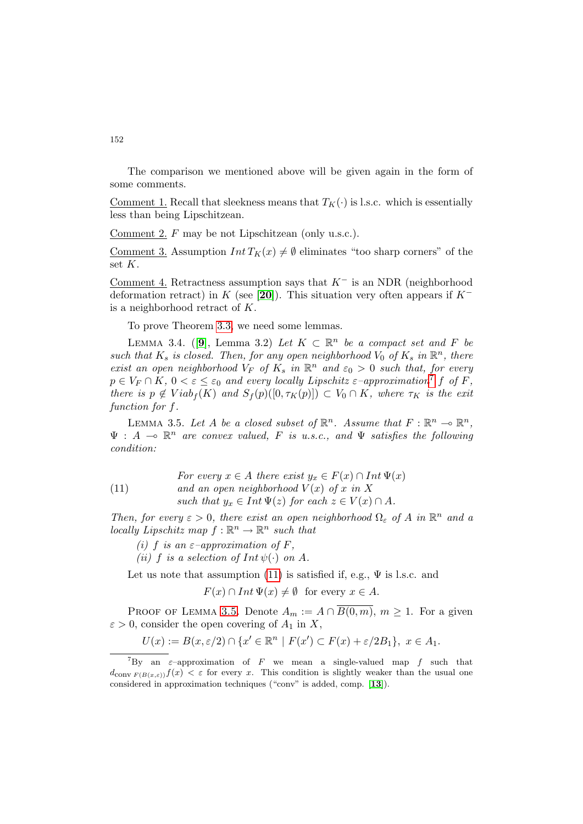The comparison we mentioned above will be given again in the form of some comments.

Comment 1. Recall that sleekness means that  $T_K(\cdot)$  is l.s.c. which is essentially less than being Lipschitzean.

Comment 2. F may be not Lipschitzean (only u.s.c.).

Comment 3. Assumption  $Int T_K(x) \neq \emptyset$  eliminates "too sharp corners" of the set K.

Comment 4. Retractness assumption says that  $K^-$  is an NDR (neighborhood deformation retract) in K (see [[20](#page-15-10)]). This situation very often appears if  $K^$ is a neighborhood retract of K.

To prove Theorem [3.3,](#page-10-0) we need some lemmas.

<span id="page-11-3"></span>LEMMA 3.4. ([[9](#page-14-9)], Lemma 3.2) Let  $K \subset \mathbb{R}^n$  be a compact set and F be such that  $K_s$  is closed. Then, for any open neighborhood  $V_0$  of  $K_s$  in  $\mathbb{R}^n$ , there exist an open neighborhood  $V_F$  of  $K_s$  in  $\mathbb{R}^n$  and  $\varepsilon_0 > 0$  such that, for every  $p \in V_F \cap K$ ,  $0 < \varepsilon \leq \varepsilon_0$  and every locally Lipschitz  $\varepsilon$ -approximation<sup>[7](#page-11-0)</sup> f of F, there is  $p \notin Viab_f(K)$  and  $S_f(p)([0, \tau_K(p)]) \subset V_0 \cap K$ , where  $\tau_K$  is the exit function for f.

<span id="page-11-2"></span>LEMMA 3.5. Let A be a closed subset of  $\mathbb{R}^n$ . Assume that  $F: \mathbb{R}^n \to \mathbb{R}^n$ ,  $\Psi : A \multimap \mathbb{R}^n$  are convex valued, F is u.s.c., and  $\Psi$  satisfies the following condition:

<span id="page-11-1"></span>(11) *For every* 
$$
x \in A
$$
 *there exist*  $y_x \in F(x) \cap Int \Psi(x)$   
\n*and an open neighborhood*  $V(x)$  *of*  $x$  *in*  $X$   
\n*such that*  $y_x \in Int \Psi(z)$  *for each*  $z \in V(x) \cap A$ .

Then, for every  $\varepsilon > 0$ , there exist an open neighborhood  $\Omega_{\varepsilon}$  of A in  $\mathbb{R}^{n}$  and a locally Lipschitz map  $f : \mathbb{R}^n \to \mathbb{R}^n$  such that

(i) f is an  $\varepsilon$ -approximation of F, (ii) f is a selection of  $Int \psi(\cdot)$  on A.

Let us note that assumption [\(11\)](#page-11-1) is satisfied if, e.g.,  $\Psi$  is l.s.c. and

 $F(x) \cap Int \Psi(x) \neq \emptyset$  for every  $x \in A$ .

PROOF OF LEMMA [3.5.](#page-11-2) Denote  $A_m := A \cap \overline{B(0,m)}$ ,  $m \geq 1$ . For a given  $\varepsilon > 0$ , consider the open covering of  $A_1$  in X,

$$
U(x) := B(x, \varepsilon/2) \cap \{x' \in \mathbb{R}^n \mid F(x') \subset F(x) + \varepsilon/2B_1\}, \ x \in A_1.
$$

<span id="page-11-0"></span><sup>&</sup>lt;sup>7</sup>By an  $\varepsilon$ -approximation of F we mean a single-valued map f such that  $d_{\text{conv }F(B(x,\varepsilon))}f(x) < \varepsilon$  for every x. This condition is slightly weaker than the usual one considered in approximation techniques ("conv" is added, comp. [[13](#page-15-9)]).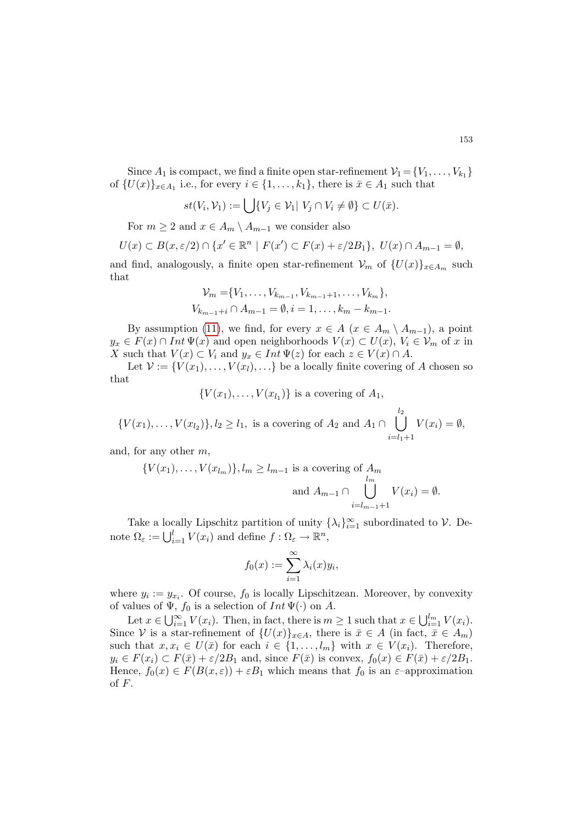Since  $A_1$  is compact, we find a finite open star-refinement  $\mathcal{V}_1 = \{V_1, \ldots, V_{k_1}\}\$ of  $\{U(x)\}_{x\in A_1}$  i.e., for every  $i \in \{1, \ldots, k_1\}$ , there is  $\bar{x} \in A_1$  such that

$$
st(V_i,\mathcal{V}_1):=\bigcup\{V_j\in\mathcal{V}_1|V_j\cap V_i\neq\emptyset\}\subset U(\bar{x}).
$$

For  $m \geq 2$  and  $x \in A_m \setminus A_{m-1}$  we consider also

$$
U(x) \subset B(x,\varepsilon/2) \cap \{x' \in \mathbb{R}^n \mid F(x') \subset F(x) + \varepsilon/2B_1\}, \ U(x) \cap A_{m-1} = \emptyset,
$$

and find, analogously, a finite open star-refinement  $\mathcal{V}_m$  of  $\{U(x)\}_{x\in A_m}$  such that

$$
\mathcal{V}_m = \{V_1, \dots, V_{k_{m-1}}, V_{k_{m-1}+1}, \dots, V_{k_m}\},
$$
  

$$
V_{k_{m-1}+i} \cap A_{m-1} = \emptyset, i = 1, \dots, k_m - k_{m-1}.
$$

By assumption [\(11\)](#page-11-1), we find, for every  $x \in A$  ( $x \in A_m \setminus A_{m-1}$ ), a point  $y_x \in F(x) \cap Int \Psi(x)$  and open neighborhoods  $V(x) \subset U(x)$ ,  $V_i \in V_m$  of x in X such that  $V(x) \subset V_i$  and  $y_x \in Int \Psi(z)$  for each  $z \in V(x) \cap A$ .

Let  $\mathcal{V} := \{V(x_1), \ldots, V(x_l), \ldots\}$  be a locally finite covering of A chosen so that

 $\{V(x_1), \ldots, V(x_{l_1})\}$  is a covering of  $A_1$ ,

$$
\{V(x_1), \ldots, V(x_{l_2})\}, l_2 \ge l_1, \text{ is a covering of } A_2 \text{ and } A_1 \cap \bigcup_{i=l_1+1}^{l_2} V(x_i) = \emptyset,
$$

and, for any other m,

$$
\{V(x_1), \ldots, V(x_{l_m})\}, l_m \ge l_{m-1} \text{ is a covering of } A_m
$$
  
and  $A_{m-1} \cap \bigcup_{i=l_{m-1}+1}^{l_m} V(x_i) = \emptyset.$ 

Take a locally Lipschitz partition of unity  $\{\lambda_i\}_{i=1}^{\infty}$  subordinated to  $\mathcal V$ . Denote  $\Omega_{\varepsilon} := \bigcup_{i=1}^{l} V(x_i)$  and define  $f : \Omega_{\varepsilon} \to \mathbb{R}^n$ ,

$$
f_0(x) := \sum_{i=1}^{\infty} \lambda_i(x) y_i,
$$

where  $y_i := y_{x_i}$ . Of course,  $f_0$  is locally Lipschitzean. Moreover, by convexity of values of  $\Psi$ ,  $f_0$  is a selection of  $Int \Psi(\cdot)$  on A.

Let  $x \in \bigcup_{i=1}^{\infty} V(x_i)$ . Then, in fact, there is  $m \geq 1$  such that  $x \in \bigcup_{i=1}^{l_m} V(x_i)$ . Since V is a star-refinement of  $\{U(x)\}_{x\in A}$ , there is  $\bar{x} \in A$  (in fact,  $\bar{x} \in A_m$ ) such that  $x, x_i \in U(\bar{x})$  for each  $i \in \{1, ..., l_m\}$  with  $x \in V(x_i)$ . Therefore,  $y_i \in F(x_i) \subset F(\bar{x}) + \varepsilon/2B_1$  and, since  $F(\bar{x})$  is convex,  $f_0(x) \in F(\bar{x}) + \varepsilon/2B_1$ . Hence,  $f_0(x) \in F(B(x, \varepsilon)) + \varepsilon B_1$  which means that  $f_0$  is an  $\varepsilon$ -approximation of  $F$ .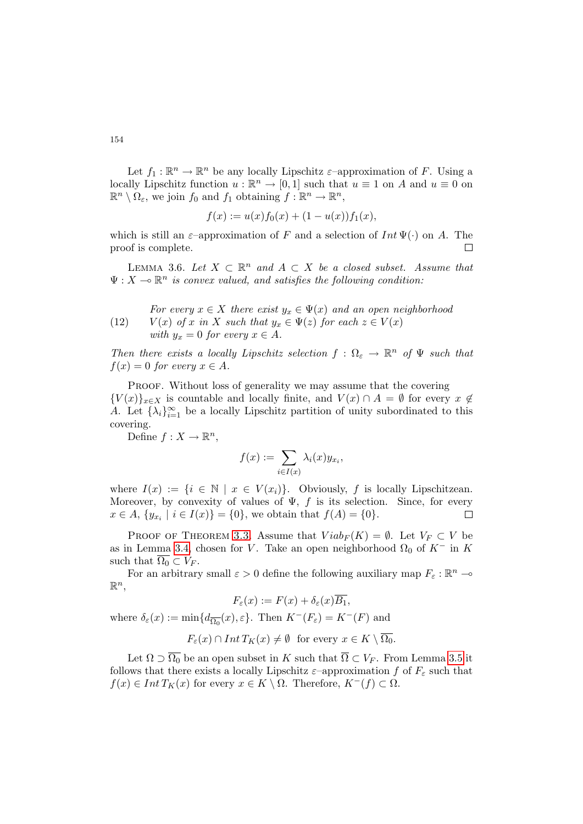Let  $f_1: \mathbb{R}^n \to \mathbb{R}^n$  be any locally Lipschitz  $\varepsilon$ -approximation of F. Using a locally Lipschitz function  $u : \mathbb{R}^n \to [0,1]$  such that  $u \equiv 1$  on A and  $u \equiv 0$  on  $\mathbb{R}^n \setminus \Omega_{\varepsilon}$ , we join  $f_0$  and  $f_1$  obtaining  $f : \mathbb{R}^n \to \mathbb{R}^n$ ,

$$
f(x) := u(x)f_0(x) + (1 - u(x))f_1(x),
$$

which is still an  $\varepsilon$ –approximation of F and a selection of Int  $\Psi(\cdot)$  on A. The proof is complete.  $\Box$ 

<span id="page-13-0"></span>LEMMA 3.6. Let  $X \subset \mathbb{R}^n$  and  $A \subset X$  be a closed subset. Assume that  $\Psi: X \to \mathbb{R}^n$  is convex valued, and satisfies the following condition:

(12) For every 
$$
x \in X
$$
 there exist  $y_x \in \Psi(x)$  and an open neighborhood  
(12)  $V(x)$  of x in X such that  $y_x \in \Psi(z)$  for each  $z \in V(x)$   
with  $y_x = 0$  for every  $x \in A$ .

Then there exists a locally Lipschitz selection  $f: \Omega_{\varepsilon} \to \mathbb{R}^n$  of  $\Psi$  such that  $f(x) = 0$  for every  $x \in A$ .

PROOF. Without loss of generality we may assume that the covering  ${V(x)}_{x\in X}$  is countable and locally finite, and  $V(x) \cap A = \emptyset$  for every  $x \notin$ A. Let  $\{\lambda_i\}_{i=1}^{\infty}$  be a locally Lipschitz partition of unity subordinated to this covering.

Define  $f: X \to \mathbb{R}^n$ ,

$$
f(x) := \sum_{i \in I(x)} \lambda_i(x) y_{x_i},
$$

where  $I(x) := \{i \in \mathbb{N} \mid x \in V(x_i)\}\$ . Obviously, f is locally Lipschitzean. Moreover, by convexity of values of  $\Psi$ , f is its selection. Since, for every  $x \in A$ ,  $\{y_{x_i} \mid i \in I(x)\} = \{0\}$ , we obtain that  $f(A) = \{0\}$ .  $\Box$ 

PROOF OF THEOREM [3.3.](#page-10-0) Assume that  $Viab_F(K) = \emptyset$ . Let  $V_F \subset V$  be as in Lemma [3.4,](#page-11-3) chosen for V. Take an open neighborhood  $\Omega_0$  of  $K^-$  in K such that  $\overline{\Omega_0} \subset V_F$ .

For an arbitrary small  $\varepsilon > 0$  define the following auxiliary map  $F_{\varepsilon} : \mathbb{R}^n \to$  $\mathbb{R}^n$ 

$$
F_{\varepsilon}(x) := F(x) + \delta_{\varepsilon}(x)\overline{B_1},
$$

where  $\delta_{\varepsilon}(x) := \min\{d_{\overline{\Omega_0}}(x), \varepsilon\}$ . Then  $K^-(F_{\varepsilon}) = K^-(F)$  and

$$
F_{\varepsilon}(x) \cap Int T_K(x) \neq \emptyset \text{ for every } x \in K \setminus \overline{\Omega_0}.
$$

Let  $\Omega \supset \overline{\Omega_0}$  be an open subset in K such that  $\overline{\Omega} \subset V_F$ . From Lemma [3.5](#page-11-2) it follows that there exists a locally Lipschitz  $\varepsilon$ -approximation f of  $F_{\varepsilon}$  such that  $f(x) \in Int T_K(x)$  for every  $x \in K \setminus \Omega$ . Therefore,  $K^-(f) \subset \Omega$ .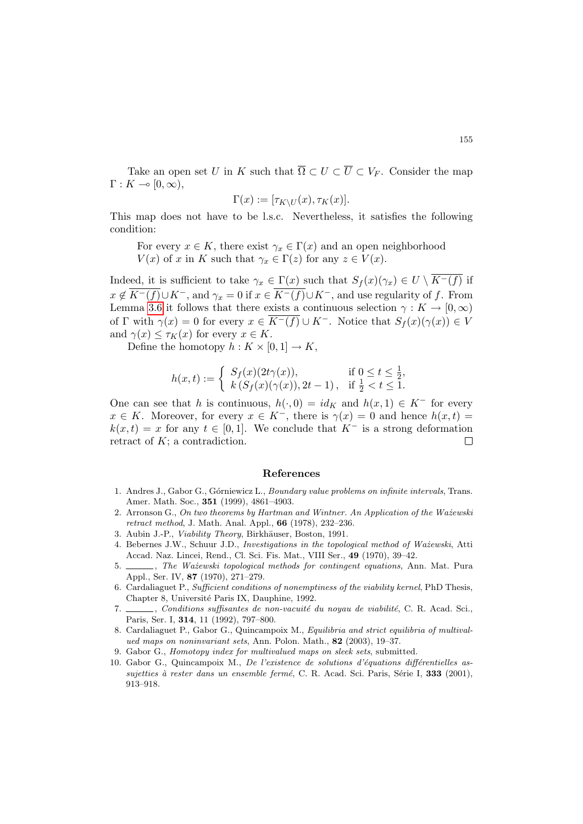Take an open set U in K such that  $\overline{\Omega} \subset U \subset \overline{U} \subset V_F$ . Consider the map  $\Gamma: K \multimap [0, \infty),$ 

$$
\Gamma(x) := [\tau_{K\setminus U}(x), \tau_K(x)].
$$

This map does not have to be l.s.c. Nevertheless, it satisfies the following condition:

For every  $x \in K$ , there exist  $\gamma_x \in \Gamma(x)$  and an open neighborhood  $V(x)$  of x in K such that  $\gamma_x \in \Gamma(z)$  for any  $z \in V(x)$ .

Indeed, it is sufficient to take  $\gamma_x \in \Gamma(x)$  such that  $S_f(x)(\gamma_x) \in U \setminus \overline{K^-(f)}$  if  $x \notin \overline{K^-(f)} \cup K^-$ , and  $\gamma_x = 0$  if  $x \in \overline{K^-(f)} \cup K^-$ , and use regularity of f. From Lemma [3.6](#page-13-0) it follows that there exists a continuous selection  $\gamma: K \to [0,\infty)$ of Γ with  $\gamma(x) = 0$  for every  $x \in K^{-}(f) \cup K^{-}$ . Notice that  $S_{f}(x)(\gamma(x)) \in V$ and  $\gamma(x) \leq \tau_K(x)$  for every  $x \in K$ .

Define the homotopy  $h: K \times [0,1] \to K$ ,

$$
h(x,t) := \begin{cases} S_f(x)(2t\gamma(x)), & \text{if } 0 \le t \le \frac{1}{2}, \\ k(S_f(x)(\gamma(x)), 2t - 1), & \text{if } \frac{1}{2} < t \le 1. \end{cases}
$$

One can see that h is continuous,  $h(\cdot, 0) = id_K$  and  $h(x, 1) \in K^-$  for every  $x \in K$ . Moreover, for every  $x \in K^-$ , there is  $\gamma(x) = 0$  and hence  $h(x, t) =$  $k(x, t) = x$  for any  $t \in [0, 1]$ . We conclude that  $K^-$  is a strong deformation retract of K; a contradiction.  $\Box$ 

## References

- <span id="page-14-5"></span>1. Andres J., Gabor G., Górniewicz L., *Boundary value problems on infinite intervals*, Trans. Amer. Math. Soc., 351 (1999), 4861–4903.
- <span id="page-14-7"></span>2. Arronson G., On two theorems by Hartman and Wintner. An Application of the Ważewski retract method, J. Math. Anal. Appl., 66 (1978), 232–236.
- <span id="page-14-0"></span>3. Aubin J.-P., Viability Theory, Birkhäuser, Boston, 1991.
- <span id="page-14-1"></span>4. Bebernes J.W., Schuur J.D., Investigations in the topological method of Ważewski, Atti Accad. Naz. Lincei, Rend., Cl. Sci. Fis. Mat., VIII Ser., 49 (1970), 39–42.
- <span id="page-14-2"></span>5.  $\frac{1}{100}$ , The Ważewski topological methods for contingent equations, Ann. Mat. Pura Appl., Ser. IV, 87 (1970), 271–279.
- <span id="page-14-3"></span>6. Cardaliaguet P., Sufficient conditions of nonemptiness of the viability kernel, PhD Thesis, Chapter 8, Université Paris IX, Dauphine, 1992.
- <span id="page-14-4"></span> $\_\_\_\$ , Conditions suffisantes de non-vacuité du noyau de viabilité, C. R. Acad. Sci., Paris, Ser. I, 314, 11 (1992), 797–800.
- <span id="page-14-6"></span>8. Cardaliaguet P., Gabor G., Quincampoix M., Equilibria and strict equilibria of multivalued maps on noninvariant sets, Ann. Polon. Math., 82 (2003), 19–37.
- <span id="page-14-9"></span>9. Gabor G., Homotopy index for multivalued maps on sleek sets, submitted.
- <span id="page-14-8"></span>10. Gabor G., Quincampoix M., De l'existence de solutions d'équations différentielles assujetties à rester dans un ensemble fermé, C. R. Acad. Sci. Paris, Série I, 333 (2001), 913–918.